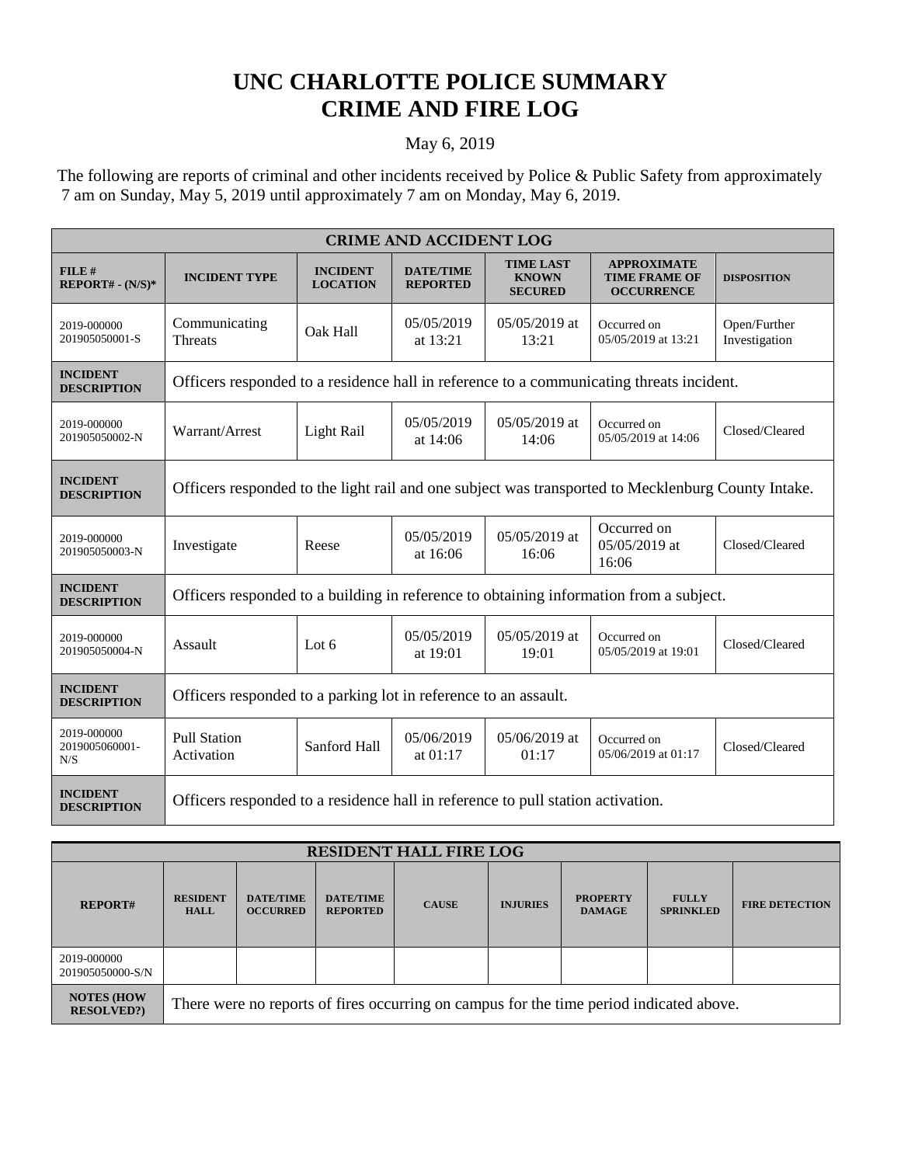## **UNC CHARLOTTE POLICE SUMMARY CRIME AND FIRE LOG**

## May 6, 2019

 The following are reports of criminal and other incidents received by Police & Public Safety from approximately 7 am on Sunday, May 5, 2019 until approximately 7 am on Monday, May 6, 2019.

| <b>CRIME AND ACCIDENT LOG</b>         |                                                                                                    |                                    |                                     |                                                    |                                                                 |                               |  |  |
|---------------------------------------|----------------------------------------------------------------------------------------------------|------------------------------------|-------------------------------------|----------------------------------------------------|-----------------------------------------------------------------|-------------------------------|--|--|
| FILE #<br>$REPORT# - (N/S)*$          | <b>INCIDENT TYPE</b>                                                                               | <b>INCIDENT</b><br><b>LOCATION</b> | <b>DATE/TIME</b><br><b>REPORTED</b> | <b>TIME LAST</b><br><b>KNOWN</b><br><b>SECURED</b> | <b>APPROXIMATE</b><br><b>TIME FRAME OF</b><br><b>OCCURRENCE</b> | <b>DISPOSITION</b>            |  |  |
| 2019-000000<br>201905050001-S         | Communicating<br><b>Threats</b>                                                                    | Oak Hall                           | 05/05/2019<br>at 13:21              | $05/05/2019$ at<br>13:21                           | Occurred on<br>05/05/2019 at 13:21                              | Open/Further<br>Investigation |  |  |
| <b>INCIDENT</b><br><b>DESCRIPTION</b> | Officers responded to a residence hall in reference to a communicating threats incident.           |                                    |                                     |                                                    |                                                                 |                               |  |  |
| 2019-000000<br>201905050002-N         | Warrant/Arrest                                                                                     | Light Rail                         | 05/05/2019<br>at 14:06              | $05/05/2019$ at<br>14:06                           | Occurred on<br>05/05/2019 at 14:06                              | Closed/Cleared                |  |  |
| <b>INCIDENT</b><br><b>DESCRIPTION</b> | Officers responded to the light rail and one subject was transported to Mecklenburg County Intake. |                                    |                                     |                                                    |                                                                 |                               |  |  |
| 2019-000000<br>201905050003-N         | Investigate                                                                                        | Reese                              | 05/05/2019<br>at 16:06              | 05/05/2019 at<br>16:06                             | Occurred on<br>05/05/2019 at<br>16:06                           | Closed/Cleared                |  |  |
| <b>INCIDENT</b><br><b>DESCRIPTION</b> | Officers responded to a building in reference to obtaining information from a subject.             |                                    |                                     |                                                    |                                                                 |                               |  |  |
| 2019-000000<br>201905050004-N         | Assault                                                                                            | Lot $6$                            | 05/05/2019<br>at 19:01              | $05/05/2019$ at<br>19:01                           | Occurred on<br>05/05/2019 at 19:01                              | Closed/Cleared                |  |  |
| <b>INCIDENT</b><br><b>DESCRIPTION</b> | Officers responded to a parking lot in reference to an assault.                                    |                                    |                                     |                                                    |                                                                 |                               |  |  |
| 2019-000000<br>2019005060001-<br>N/S  | <b>Pull Station</b><br>Activation                                                                  | Sanford Hall                       | 05/06/2019<br>at $01:17$            | 05/06/2019 at<br>01:17                             | Occurred on<br>05/06/2019 at 01:17                              | Closed/Cleared                |  |  |
| <b>INCIDENT</b><br><b>DESCRIPTION</b> | Officers responded to a residence hall in reference to pull station activation.                    |                                    |                                     |                                                    |                                                                 |                               |  |  |

| <b>RESIDENT HALL FIRE LOG</b>          |                                                                                         |                                     |                                     |              |                 |                                  |                                  |                       |
|----------------------------------------|-----------------------------------------------------------------------------------------|-------------------------------------|-------------------------------------|--------------|-----------------|----------------------------------|----------------------------------|-----------------------|
| <b>REPORT#</b>                         | <b>RESIDENT</b><br><b>HALL</b>                                                          | <b>DATE/TIME</b><br><b>OCCURRED</b> | <b>DATE/TIME</b><br><b>REPORTED</b> | <b>CAUSE</b> | <b>INJURIES</b> | <b>PROPERTY</b><br><b>DAMAGE</b> | <b>FULLY</b><br><b>SPRINKLED</b> | <b>FIRE DETECTION</b> |
| 2019-000000<br>201905050000-S/N        |                                                                                         |                                     |                                     |              |                 |                                  |                                  |                       |
| <b>NOTES (HOW</b><br><b>RESOLVED?)</b> | There were no reports of fires occurring on campus for the time period indicated above. |                                     |                                     |              |                 |                                  |                                  |                       |